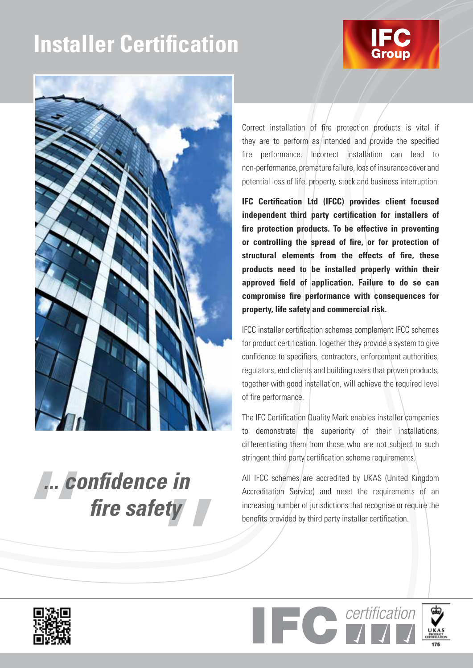# **Installer Certification**





*... confidence in fire safety* Correct installation of fire protection products is vital if they are to perform as intended and provide the specified fire performance. Incorrect installation can lead to non-performance, premature failure, loss of insurance cover and potential loss of life, property, stock and business interruption.

**IFC Certification Ltd (IFCC) provides client focused independent third party certification for installers of fire protection products. To be effective in preventing or controlling the spread of fire, or for protection of structural elements from the effects of fire, these products need to be installed properly within their approved field of application. Failure to do so can compromise fire performance with consequences for property, life safety and commercial risk.**

IFCC installer certification schemes complement IFCC schemes for product certification. Together they provide a system to give confidence to specifiers, contractors, enforcement authorities, regulators, end clients and building users that proven products, together with good installation, will achieve the required level of fire performance.

The IFC Certification Quality Mark enables installer companies to demonstrate the superiority of their installations, differentiating them from those who are not subject to such stringent third party certification scheme requirements.

All IFCC schemes are accredited by UKAS (United Kingdom Accreditation Service) and meet the requirements of an increasing number of jurisdictions that recognise or require the benefits provided by third party installer certification.